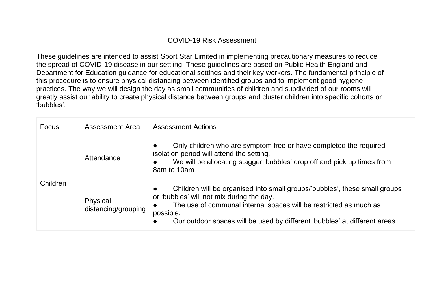## COVID-19 Risk Assessment

These guidelines are intended to assist Sport Star Limited in implementing precautionary measures to reduce the spread of COVID-19 disease in our settling. These guidelines are based on Public Health England and Department for Education guidance for educational settings and their key workers. The fundamental principle of this procedure is to ensure physical distancing between identified groups and to implement good hygiene practices. The way we will design the day as small communities of children and subdivided of our rooms will greatly assist our ability to create physical distance between groups and cluster children into specific cohorts or 'bubbles'.

| <b>Focus</b> | <b>Assessment Area</b>          | <b>Assessment Actions</b>                                                                                                                                                                                                                                                               |
|--------------|---------------------------------|-----------------------------------------------------------------------------------------------------------------------------------------------------------------------------------------------------------------------------------------------------------------------------------------|
| Children     | Attendance                      | Only children who are symptom free or have completed the required<br>isolation period will attend the setting.<br>We will be allocating stagger 'bubbles' drop off and pick up times from<br>8am to 10am                                                                                |
|              | Physical<br>distancing/grouping | Children will be organised into small groups/'bubbles', these small groups<br>or 'bubbles' will not mix during the day.<br>The use of communal internal spaces will be restricted as much as<br>possible.<br>Our outdoor spaces will be used by different 'bubbles' at different areas. |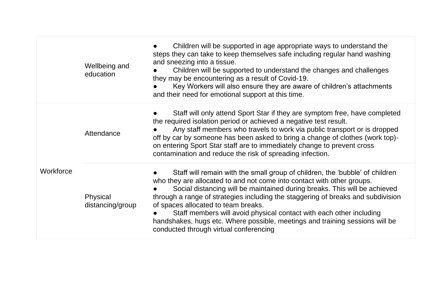|           | Wellbeing and<br>education   | Children will be supported in age appropriate ways to understand the<br>steps they can take to keep themselves safe including regular hand washing<br>and sneezing into a tissue.<br>Children will be supported to understand the changes and challenges<br>they may be encountering as a result of Covid-19.<br>Key Workers will also ensure they are aware of children's attachments<br>and their need for emotional support at this time.                                                                                                                    |
|-----------|------------------------------|-----------------------------------------------------------------------------------------------------------------------------------------------------------------------------------------------------------------------------------------------------------------------------------------------------------------------------------------------------------------------------------------------------------------------------------------------------------------------------------------------------------------------------------------------------------------|
| Workforce | Attendance                   | Staff will only attend Sport Star if they are symptom free, have completed<br>the required isolation period or achieved a negative test result.<br>Any staff members who travels to work via public transport or is dropped<br>off by car by someone has been asked to bring a change of clothes (work top)-<br>on entering Sport Star staff are to immediately change to prevent cross<br>contamination and reduce the risk of spreading infection.                                                                                                            |
|           | Physical<br>distancing/group | Staff will remain with the small group of children, the 'bubble' of children<br>who they are allocated to and not come into contact with other groups.<br>Social distancing will be maintained during breaks. This will be achieved<br>through a range of strategies including the staggering of breaks and subdivision<br>of spaces allocated to team breaks.<br>Staff members will avoid physical contact with each other including<br>handshakes, hugs etc. Where possible, meetings and training sessions will be<br>conducted through virtual conferencing |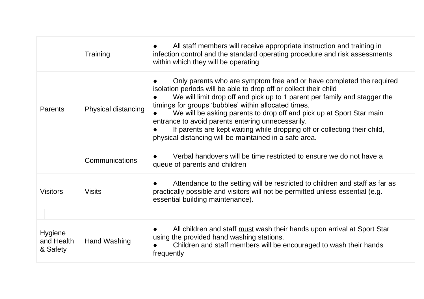|                                   | Training            | All staff members will receive appropriate instruction and training in<br>infection control and the standard operating procedure and risk assessments<br>within which they will be operating                                                                                                                                                                                                                                                                                                                                                       |
|-----------------------------------|---------------------|----------------------------------------------------------------------------------------------------------------------------------------------------------------------------------------------------------------------------------------------------------------------------------------------------------------------------------------------------------------------------------------------------------------------------------------------------------------------------------------------------------------------------------------------------|
| Parents                           | Physical distancing | Only parents who are symptom free and or have completed the required<br>isolation periods will be able to drop off or collect their child<br>We will limit drop off and pick up to 1 parent per family and stagger the<br>timings for groups 'bubbles' within allocated times.<br>We will be asking parents to drop off and pick up at Sport Star main<br>entrance to avoid parents entering unnecessarily.<br>If parents are kept waiting while dropping off or collecting their child,<br>physical distancing will be maintained in a safe area. |
|                                   | Communications      | Verbal handovers will be time restricted to ensure we do not have a<br>queue of parents and children                                                                                                                                                                                                                                                                                                                                                                                                                                               |
| <b>Visitors</b>                   | <b>Visits</b>       | Attendance to the setting will be restricted to children and staff as far as<br>practically possible and visitors will not be permitted unless essential (e.g.<br>essential building maintenance).                                                                                                                                                                                                                                                                                                                                                 |
| Hygiene<br>and Health<br>& Safety | Hand Washing        | All children and staff must wash their hands upon arrival at Sport Star<br>using the provided hand washing stations.<br>Children and staff members will be encouraged to wash their hands<br>frequently                                                                                                                                                                                                                                                                                                                                            |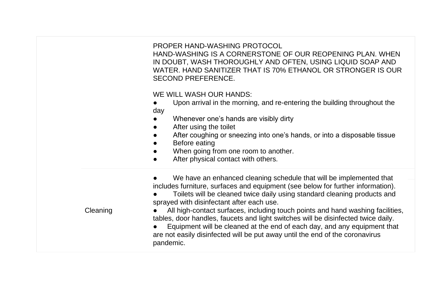PROPER HAND-WASHING PROTOCOL

HAND-WASHING IS A CORNERSTONE OF OUR REOPENING PLAN. WHEN IN DOUBT, WASH THOROUGHLY AND OFTEN, USING LIQUID SOAP AND WATER. HAND SANITIZER THAT IS 70% ETHANOL OR STRONGER IS OUR SECOND PREFERENCE.

WE WILL WASH OUR HANDS:

- Upon arrival in the morning, and re-entering the building throughout the day
- Whenever one's hands are visibly dirty
- After using the toilet
- After coughing or sneezing into one's hands, or into a disposable tissue
- **Before eating**
- When going from one room to another.
- After physical contact with others.

**Cleaning** We have an enhanced cleaning schedule that will be implemented that includes furniture, surfaces and equipment (see below for further information). Toilets will be cleaned twice daily using standard cleaning products and sprayed with disinfectant after each use. All high-contact surfaces, including touch points and hand washing facilities, tables, door handles, faucets and light switches will be disinfected twice daily. Equipment will be cleaned at the end of each day, and any equipment that are not easily disinfected will be put away until the end of the coronavirus pandemic.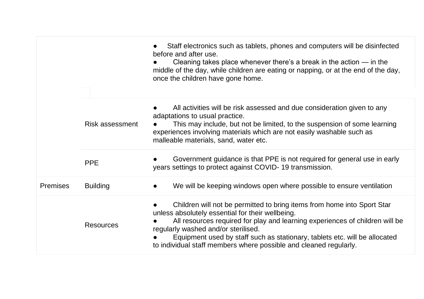|                 |                        | Staff electronics such as tablets, phones and computers will be disinfected<br>before and after use.<br>Cleaning takes place whenever there's a break in the action $-$ in the<br>middle of the day, while children are eating or napping, or at the end of the day,<br>once the children have gone home.                                                                                             |
|-----------------|------------------------|-------------------------------------------------------------------------------------------------------------------------------------------------------------------------------------------------------------------------------------------------------------------------------------------------------------------------------------------------------------------------------------------------------|
|                 | <b>Risk assessment</b> | All activities will be risk assessed and due consideration given to any<br>adaptations to usual practice.<br>This may include, but not be limited, to the suspension of some learning<br>experiences involving materials which are not easily washable such as<br>malleable materials, sand, water etc.                                                                                               |
|                 | <b>PPE</b>             | Government guidance is that PPE is not required for general use in early<br>years settings to protect against COVID-19 transmission.                                                                                                                                                                                                                                                                  |
| <b>Premises</b> | <b>Building</b>        | We will be keeping windows open where possible to ensure ventilation<br>$\bullet$                                                                                                                                                                                                                                                                                                                     |
|                 | <b>Resources</b>       | Children will not be permitted to bring items from home into Sport Star<br>unless absolutely essential for their wellbeing.<br>All resources required for play and learning experiences of children will be<br>regularly washed and/or sterilised.<br>Equipment used by staff such as stationary, tablets etc. will be allocated<br>to individual staff members where possible and cleaned regularly. |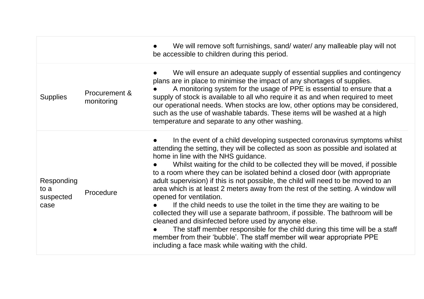|                                         |                             | We will remove soft furnishings, sand/ water/ any malleable play will not<br>be accessible to children during this period.                                                                                                                                                                                                                                                                                                                                                                                                                                                                                                                                                                                                                                                                                                                                                                                                                                                                                  |
|-----------------------------------------|-----------------------------|-------------------------------------------------------------------------------------------------------------------------------------------------------------------------------------------------------------------------------------------------------------------------------------------------------------------------------------------------------------------------------------------------------------------------------------------------------------------------------------------------------------------------------------------------------------------------------------------------------------------------------------------------------------------------------------------------------------------------------------------------------------------------------------------------------------------------------------------------------------------------------------------------------------------------------------------------------------------------------------------------------------|
| <b>Supplies</b>                         | Procurement &<br>monitoring | We will ensure an adequate supply of essential supplies and contingency<br>plans are in place to minimise the impact of any shortages of supplies.<br>A monitoring system for the usage of PPE is essential to ensure that a<br>supply of stock is available to all who require it as and when required to meet<br>our operational needs. When stocks are low, other options may be considered,<br>such as the use of washable tabards. These items will be washed at a high<br>temperature and separate to any other washing.                                                                                                                                                                                                                                                                                                                                                                                                                                                                              |
| Responding<br>to a<br>suspected<br>case | Procedure                   | In the event of a child developing suspected coronavirus symptoms whilst<br>attending the setting, they will be collected as soon as possible and isolated at<br>home in line with the NHS guidance.<br>Whilst waiting for the child to be collected they will be moved, if possible<br>to a room where they can be isolated behind a closed door (with appropriate<br>adult supervision) if this is not possible, the child will need to be moved to an<br>area which is at least 2 meters away from the rest of the setting. A window will<br>opened for ventilation.<br>If the child needs to use the toilet in the time they are waiting to be<br>collected they will use a separate bathroom, if possible. The bathroom will be<br>cleaned and disinfected before used by anyone else.<br>The staff member responsible for the child during this time will be a staff<br>member from their 'bubble'. The staff member will wear appropriate PPE<br>including a face mask while waiting with the child. |